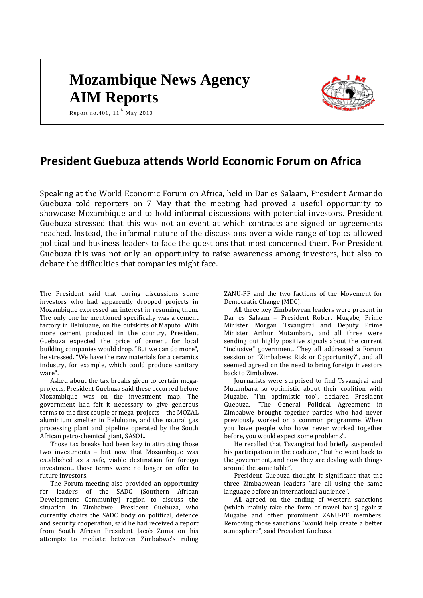# **Mozambique News Agency AIM Reports**



Report no.401,  $11<sup>th</sup>$  May 2010

# **President Guebuza attends World Economic Forum on Africa**

Speaking at the World Economic Forum on Africa, held in Dar es Salaam, President Armando Guebuza told reporters on 7 May that the meeting had proved a useful opportunity to showcase Mozambique and to hold informal discussions with potential investors. President Guebuza stressed that this was not an event at which contracts are signed or agreements reached. Instead, the informal nature of the discussions over a wide range of topics allowed political and business leaders to face the questions that most concerned them. For President Guebuza this was not only an opportunity to raise awareness among investors, but also to debate the difficulties that companies might face.

The President said that during discussions some investors who had apparently dropped projects in Mozambique expressed an interest in resuming them. The only one he mentioned specifically was a cement factory in Beluluane, on the outskirts of Maputo. With more cement produced in the country, President Guebuza expected the price of cement for local building companies would drop. "But we can do more", he stressed. "We have the raw materials for a ceramics industry, for example, which could produce sanitary ware".

Asked about the tax breaks given to certain megaprojects, President Guebuza said these occurred before Mozambique was on the investment map. The government had felt it necessary to give generous terms to the first couple of mega-projects – the MOZAL aluminium smelter in Beluluane, and the natural gas processing plant and pipeline operated by the South African petro-chemical giant, SASOL.

Those tax breaks had been key in attracting those two investments – but now that Mozambique was established as a safe, viable destination for foreign investment, those terms were no longer on offer to future investors.

The Forum meeting also provided an opportunity for leaders of the SADC (Southern African Development Community) region to discuss the situation in Zimbabwe. President Guebuza, who currently chairs the SADC body on political, defence and security cooperation, said he had received a report from South African President Jacob Zuma on his attempts to mediate between Zimbabwe's ruling ZANU-PF and the two factions of the Movement for Democratic Change (MDC).

All three key Zimbabwean leaders were present in Dar es Salaam – President Robert Mugabe, Prime Minister Morgan Tsvangirai and Deputy Prime Minister Arthur Mutambara, and all three were sending out highly positive signals about the current "inclusive" government. They all addressed a Forum session on "Zimbabwe: Risk or Opportunity?", and all seemed agreed on the need to bring foreign investors back to Zimbabwe.

Journalists were surprised to find Tsvangirai and Mutambara so optimistic about their coalition with Mugabe. "I'm optimistic too", declared President Guebuza. "The General Political Agreement in Zimbabwe brought together parties who had never previously worked on a common programme. When you have people who have never worked together before, you would expect some problems".

He recalled that Tsvangirai had briefly suspended his participation in the coalition, "but he went back to the government, and now they are dealing with things around the same table".

President Guebuza thought it significant that the three Zimbabwean leaders "are all using the same language before an international audience".

All agreed on the ending of western sanctions (which mainly take the form of travel bans) against Mugabe and other prominent ZANU-PF members. Removing those sanctions "would help create a better atmosphere", said President Guebuza.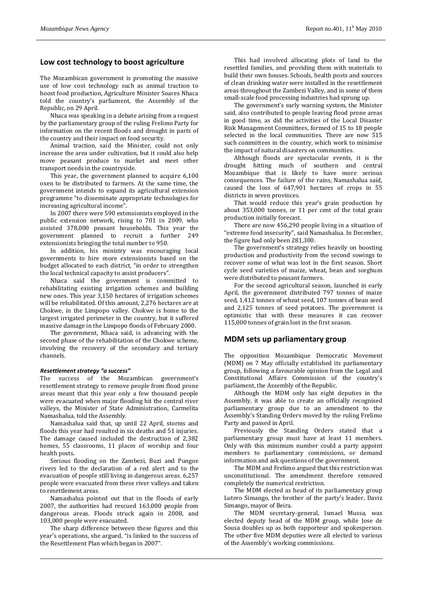# **Low cost technology to boost agriculture**

The Mozambican government is promoting the massive use of low cost technology such as animal traction to boost food production, Agriculture Minister Soares Nhaca told the country's parliament, the Assembly of the Republic, on 29 April.

Nhaca was speaking in a debate arising from a request by the parliamentary group of the ruling Frelimo Party for information on the recent floods and drought in parts of the country and their impact on food security.

Animal traction, said the Minister, could not only increase the area under cultivation, but it could also help move peasant produce to market and meet other transport needs in the countryside.

This year, the government planned to acquire 6,100 oxen to be distributed to farmers. At the same time, the government intends to expand its agricultural extension programme "to disseminate appropriate technologies for increasing agricultural income".

In 2007 there were 590 extensionists employed in the public extension network, rising to 701 in 2009, who assisted 378,000 peasant households. This year the government planned to recruit a further 249 extensionists bringing the total number to 950.

In addition, his ministry was encouraging local governments to hire more extensionists based on the budget allocated to each district, "in order to strengthen the local technical capacity to assist producers".

Nhaca said the government is committed to rehabilitating existing irrigation schemes and building new ones. This year 3,150 hectares of irrigation schemes will be rehabilitated. Of this amount, 2,276 hectares are at Chokwe, in the Limpopo valley. Chokwe is home to the largest irrigated perimeter in the country, but it suffered massive damage in the Limpopo floods of February 2000.

The government, Nhaca said, is advancing with the second phase of the rehabilitation of the Chokwe scheme, involving the recovery of the secondary and tertiary channels.

#### *Resettlement strategy "a success"*

The success of the Mozambican government's resettlement strategy to remove people from flood prone areas meant that this year only a few thousand people were evacuated when major flooding hit the central river valleys, the Minister of State Administration, Carmelita Namashalua, told the Assembly.

Namashalua said that, up until 22 April, storms and floods this year had resulted in six deaths and 51 injuries. The damage caused included the destruction of 2,382 homes, 55 classrooms, 11 places of worship and four health posts.

Serious flooding on the Zambezi, Buzi and Pungoe rivers led to the declaration of a red alert and to the evacuation of people still living in dangerous areas. 6,257 people were evacuated from these river valleys and taken to resettlement areas.

Namashalua pointed out that in the floods of early 2007, the authorities had rescued 163,000 people from dangerous areas. Floods struck again in 2008, and 103,000 people were evacuated.

The sharp difference between these figures and this year's operations, she argued, "is linked to the success of the Resettlement Plan which began in 2007".

This had involved allocating plots of land to the resettled families, and providing them with materials to build their own houses. Schools, health posts and sources of clean drinking water were installed in the resettlement areas throughout the Zambezi Valley, and in some of them small-scale food processing industries had sprung up.

The government's early warning system, the Minister said, also contributed to people leaving flood prone areas in good time, as did the activities of the Local Disaster Risk Management Committees, formed of 15 to 18 people selected in the local communities. There are now 515 such committees in the country, which work to minimise the impact of natural disasters on communities.

Although floods are spectacular events, it is the drought hitting much of southern and central Mozambique that is likely to have more serious consequences. The failure of the rains, Namashalua said, caused the loss of 647,901 hectares of crops in 55 districts in seven provinces.

That would reduce this year's grain production by about 353,000 tonnes, or 11 per cent of the total grain production initially forecast.

There are now 456,290 people living in a situation of "extreme food insecurity", said Namashalua. In December, the figure had only been 281,300.

The government's strategy relies heavily on boosting production and productivity from the second sowings to recover some of what was lost in the first season. Short cycle seed varieties of maize, wheat, bean and sorghum were distributed to peasant farmers.

For the second agricultural season, launched in early April, the government distributed 797 tonnes of maize seed, 1,412 tonnes of wheat seed, 107 tonnes of bean seed and 2,125 tonnes of seed potatoes. The government is optimistic that with these measures it can recover 115,000 tonnes of grain lost in the first season.

### **MDM sets up parliamentary group**

The opposition Mozambique Democratic Movement (MDM) on 7 May officially established its parliamentary group, following a favourable opinion from the Legal and Constitutional Affairs Commission of the country's parliament, the Assembly of the Republic.

Although the MDM only has eight deputies in the Assembly, it was able to create an officially recognised parliamentary group due to an amendment to the Assembly's Standing Orders moved by the ruling Frelimo Party and passed in April.

Previously the Standing Orders stated that a parliamentary group must have at least 11 members. Only with this minimum number could a party appoint members to parliamentary commissions, or demand information and ask questions of the government.

The MDM and Frelimo argued that this restriction was unconstitutional. The amendment therefore removed completely the numerical restriction.

The MDM elected as head of its parliamentary group Lutero Simango, the brother of the party's leader, Daviz Simango, mayor of Beira.

The MDM secretary-general, Ismael Mussa, was elected deputy head of the MDM group, while Jose de Sousa doubles up as both rapporteur and spokesperson. The other five MDM deputies were all elected to various of the Assembly's working commissions.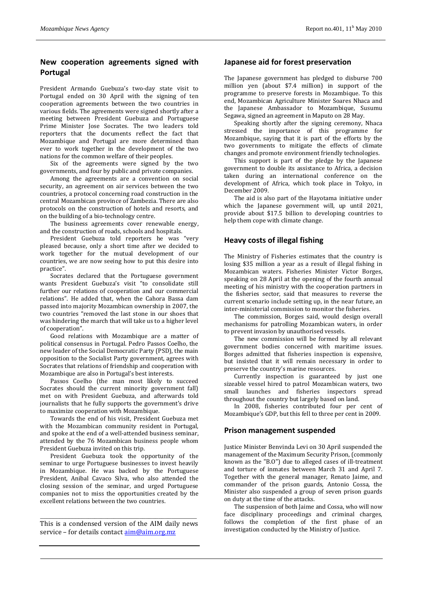# **New cooperation agreements signed with Portugal**

President Armando Guebuza's two-day state visit to Portugal ended on 30 April with the signing of ten cooperation agreements between the two countries in various fields. The agreements were signed shortly after a meeting between President Guebuza and Portuguese Prime Minister Jose Socrates. The two leaders told reporters that the documents reflect the fact that Mozambique and Portugal are more determined than ever to work together in the development of the two nations for the common welfare of their peoples.

Six of the agreements were signed by the two governments, and four by public and private companies.

Among the agreements are a convention on social security, an agreement on air services between the two countries, a protocol concerning road construction in the central Mozambican province of Zambezia. There are also protocols on the construction of hotels and resorts, and on the building of a bio-technology centre.

The business agreements cover renewable energy, and the construction of roads, schools and hospitals.

President Guebuza told reporters he was "very pleased because, only a short time after we decided to work together for the mutual development of our countries, we are now seeing how to put this desire into practice".

Socrates declared that the Portuguese government wants President Guebuza's visit "to consolidate still further our relations of cooperation and our commercial relations". He added that, when the Cahora Bassa dam passed into majority Mozambican ownership in 2007, the two countries "removed the last stone in our shoes that was hindering the march that will take us to a higher level of cooperation".

Good relations with Mozambique are a matter of political consensus in Portugal. Pedro Passos Coelho, the new leader of the Social Democratic Party (PSD), the main opposition to the Socialist Party government, agrees with Socrates that relations of friendship and cooperation with Mozambique are also in Portugal's best interests.

Passos Coelho (the man most likely to succeed Socrates should the current minority government fall) met on with President Guebuza, and afterwards told journalists that he fully supports the government's drive to maximize cooperation with Mozambique.

Towards the end of his visit, President Guebuza met with the Mozambican community resident in Portugal, and spoke at the end of a well-attended business seminar, attended by the 76 Mozambican business people whom President Guebuza invited on this trip.

President Guebuza took the opportunity of the seminar to urge Portuguese businesses to invest heavily in Mozambique. He was backed by the Portuguese President, Anibal Cavaco Silva, who also attended the closing session of the seminar, and urged Portuguese companies not to miss the opportunities created by the excellent relations between the two countries.

*\_\_\_\_\_\_\_\_\_\_\_\_\_\_\_\_\_\_\_\_\_\_\_\_\_\_\_\_\_\_\_\_\_\_\_\_\_\_\_\_\_\_\_\_\_\_\_\_\_* This is a condensed version of the AIM daily news service – for details contac[t aim@aim.org.mz](mailto:aim@aim.org.mz)

# **Japanese aid for forest preservation**

The Japanese government has pledged to disburse 700 million yen (about \$7.4 million) in support of the programme to preserve forests in Mozambique. To this end, Mozambican Agriculture Minister Soares Nhaca and the Japanese Ambassador to Mozambique, Susumu Segawa, signed an agreement in Maputo on 28 May.

Speaking shortly after the signing ceremony, Nhaca stressed the importance of this programme for Mozambique, saying that it is part of the efforts by the two governments to mitigate the effects of climate changes and promote environment friendly technologies.

This support is part of the pledge by the Japanese government to double its assistance to Africa, a decision taken during an international conference on the development of Africa, which took place in Tokyo, in December 2009.

The aid is also part of the Hayotama initiative under which the Japanese government will, up until 2021. provide about \$17.5 billion to developing countries to help them cope with climate change.

# **Heavy costs of illegal fishing**

The Ministry of Fisheries estimates that the country is losing \$35 million a year as a result of illegal fishing in Mozambican waters. Fisheries Minister Victor Borges, speaking on 28 April at the opening of the fourth annual meeting of his ministry with the cooperation partners in the fisheries sector, said that measures to reverse the current scenario include setting up, in the near future, an inter-ministerial commission to monitor the fisheries.

The commission, Borges said, would design overall mechanisms for patrolling Mozambican waters, in order to prevent invasion by unauthorised vessels.

The new commission will be formed by all relevant government bodies concerned with maritime issues. Borges admitted that fisheries inspection is expensive, but insisted that it will remain necessary in order to preserve the country's marine resources.

Currently inspection is guaranteed by just one sizeable vessel hired to patrol Mozambican waters, two small launches and fisheries inspectors spread throughout the country but largely based on land.

In 2008, fisheries contributed four per cent of Mozambique's GDP, but this fell to three per cent in 2009.

### **Prison management suspended**

Justice Minister Benvinda Levi on 30 April suspended the management of the Maximum Security Prison, (commonly known as the "B.O") due to alleged cases of ill-treatment and torture of inmates between March 31 and April 7. Together with the general manager, Renato Jaime, and commander of the prison guards, Antonio Cossa, the Minister also suspended a group of seven prison guards on duty at the time of the attacks.

The suspension of both Jaime and Cossa, who will now face disciplinary proceedings and criminal charges, follows the completion of the first phase of an investigation conducted by the Ministry of Justice.